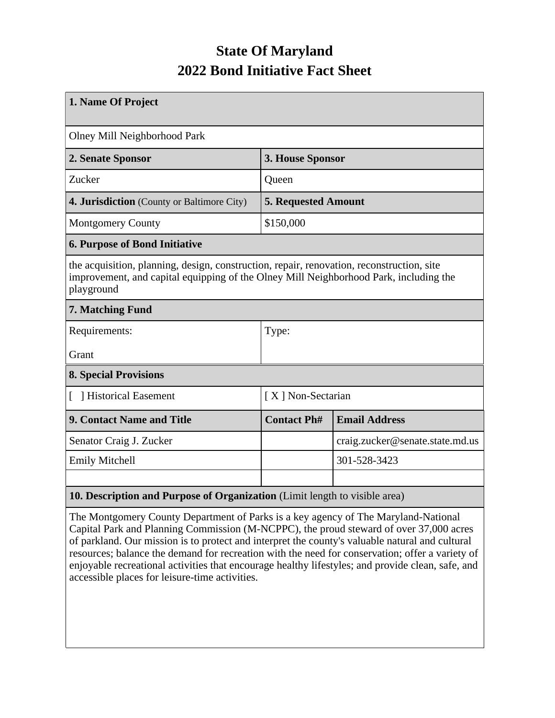## **State Of Maryland 2022 Bond Initiative Fact Sheet**

| 1. Name Of Project                                                                                                                                                                               |                            |                                 |  |  |  |
|--------------------------------------------------------------------------------------------------------------------------------------------------------------------------------------------------|----------------------------|---------------------------------|--|--|--|
| Olney Mill Neighborhood Park                                                                                                                                                                     |                            |                                 |  |  |  |
| 2. Senate Sponsor                                                                                                                                                                                | 3. House Sponsor           |                                 |  |  |  |
| Zucker                                                                                                                                                                                           | Queen                      |                                 |  |  |  |
| 4. Jurisdiction (County or Baltimore City)                                                                                                                                                       | <b>5. Requested Amount</b> |                                 |  |  |  |
| <b>Montgomery County</b>                                                                                                                                                                         | \$150,000                  |                                 |  |  |  |
| <b>6. Purpose of Bond Initiative</b>                                                                                                                                                             |                            |                                 |  |  |  |
| the acquisition, planning, design, construction, repair, renovation, reconstruction, site<br>improvement, and capital equipping of the Olney Mill Neighborhood Park, including the<br>playground |                            |                                 |  |  |  |
| 7. Matching Fund                                                                                                                                                                                 |                            |                                 |  |  |  |
| Requirements:                                                                                                                                                                                    | Type:                      |                                 |  |  |  |
| Grant                                                                                                                                                                                            |                            |                                 |  |  |  |
| <b>8. Special Provisions</b>                                                                                                                                                                     |                            |                                 |  |  |  |
| Historical Easement<br>$\mathbb{F}$                                                                                                                                                              | [X] Non-Sectarian          |                                 |  |  |  |
| <b>9. Contact Name and Title</b>                                                                                                                                                                 | <b>Contact Ph#</b>         | <b>Email Address</b>            |  |  |  |
| Senator Craig J. Zucker                                                                                                                                                                          |                            | craig.zucker@senate.state.md.us |  |  |  |
| <b>Emily Mitchell</b>                                                                                                                                                                            |                            | 301-528-3423                    |  |  |  |
|                                                                                                                                                                                                  |                            |                                 |  |  |  |
| 10. Description and Purpose of Organization (Limit length to visible area)                                                                                                                       |                            |                                 |  |  |  |

The Montgomery County Department of Parks is a key agency of The Maryland-National Capital Park and Planning Commission (M-NCPPC), the proud steward of over 37,000 acres of parkland. Our mission is to protect and interpret the county's valuable natural and cultural resources; balance the demand for recreation with the need for conservation; offer a variety of enjoyable recreational activities that encourage healthy lifestyles; and provide clean, safe, and accessible places for leisure-time activities.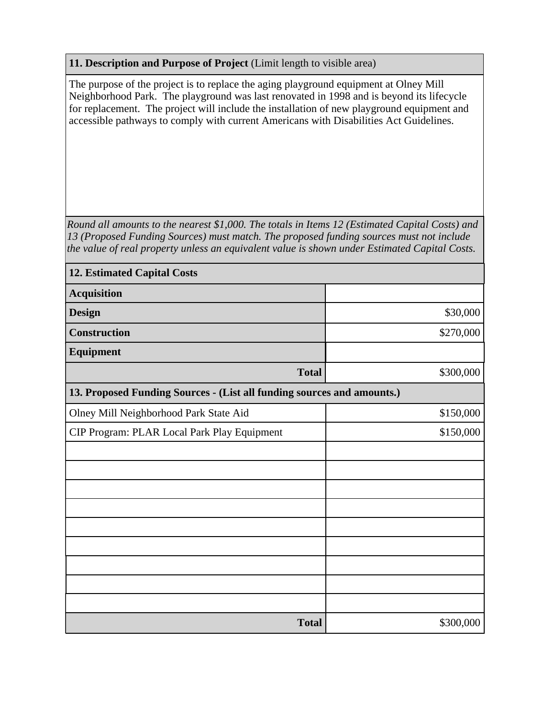## **11. Description and Purpose of Project** (Limit length to visible area)

The purpose of the project is to replace the aging playground equipment at Olney Mill Neighborhood Park. The playground was last renovated in 1998 and is beyond its lifecycle for replacement. The project will include the installation of new playground equipment and accessible pathways to comply with current Americans with Disabilities Act Guidelines.

*Round all amounts to the nearest \$1,000. The totals in Items 12 (Estimated Capital Costs) and 13 (Proposed Funding Sources) must match. The proposed funding sources must not include the value of real property unless an equivalent value is shown under Estimated Capital Costs.*

| <b>12. Estimated Capital Costs</b>                                     |           |
|------------------------------------------------------------------------|-----------|
| <b>Acquisition</b>                                                     |           |
| <b>Design</b>                                                          | \$30,000  |
| <b>Construction</b>                                                    | \$270,000 |
| Equipment                                                              |           |
| <b>Total</b>                                                           | \$300,000 |
| 13. Proposed Funding Sources - (List all funding sources and amounts.) |           |
| Olney Mill Neighborhood Park State Aid                                 | \$150,000 |
| CIP Program: PLAR Local Park Play Equipment                            | \$150,000 |
|                                                                        |           |
|                                                                        |           |
|                                                                        |           |
|                                                                        |           |
|                                                                        |           |
|                                                                        |           |
|                                                                        |           |
|                                                                        |           |
|                                                                        |           |
| <b>Total</b>                                                           | \$300,000 |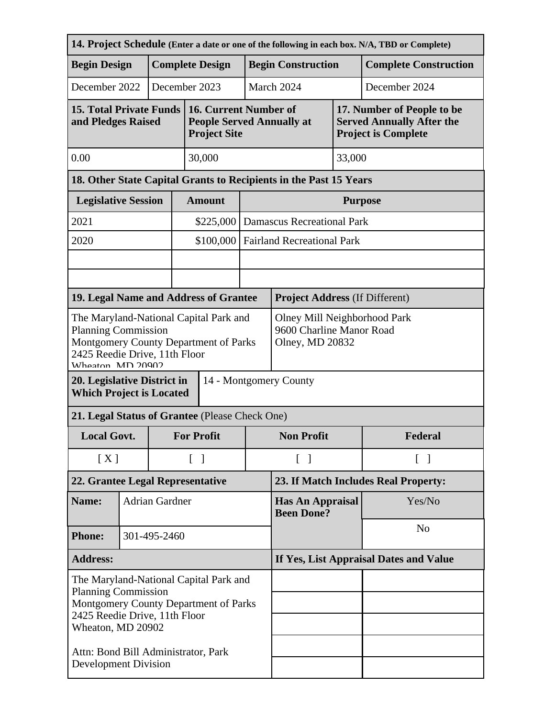| 14. Project Schedule (Enter a date or one of the following in each box. N/A, TBD or Complete)                                                                       |                            |                        |                                                                             |                                                                                  |                                              |                                       |                    |                                                                                              |  |
|---------------------------------------------------------------------------------------------------------------------------------------------------------------------|----------------------------|------------------------|-----------------------------------------------------------------------------|----------------------------------------------------------------------------------|----------------------------------------------|---------------------------------------|--------------------|----------------------------------------------------------------------------------------------|--|
| <b>Begin Design</b>                                                                                                                                                 |                            | <b>Complete Design</b> |                                                                             |                                                                                  |                                              | <b>Begin Construction</b>             |                    | <b>Complete Construction</b>                                                                 |  |
| December 2022                                                                                                                                                       |                            |                        |                                                                             | December 2023                                                                    |                                              | March 2024                            |                    | December 2024                                                                                |  |
| <b>15. Total Private Funds</b><br>and Pledges Raised                                                                                                                |                            |                        |                                                                             | 16. Current Number of<br><b>People Served Annually at</b><br><b>Project Site</b> |                                              |                                       |                    | 17. Number of People to be<br><b>Served Annually After the</b><br><b>Project is Complete</b> |  |
| 0.00                                                                                                                                                                |                            |                        |                                                                             | 30,000                                                                           |                                              |                                       | 33,000             |                                                                                              |  |
| 18. Other State Capital Grants to Recipients in the Past 15 Years                                                                                                   |                            |                        |                                                                             |                                                                                  |                                              |                                       |                    |                                                                                              |  |
|                                                                                                                                                                     | <b>Legislative Session</b> |                        |                                                                             | <b>Amount</b>                                                                    |                                              | <b>Purpose</b>                        |                    |                                                                                              |  |
| 2021                                                                                                                                                                |                            |                        |                                                                             | \$225,000                                                                        |                                              | <b>Damascus Recreational Park</b>     |                    |                                                                                              |  |
| 2020                                                                                                                                                                |                            |                        |                                                                             | \$100,000                                                                        |                                              | <b>Fairland Recreational Park</b>     |                    |                                                                                              |  |
|                                                                                                                                                                     |                            |                        |                                                                             |                                                                                  |                                              |                                       |                    |                                                                                              |  |
|                                                                                                                                                                     |                            |                        |                                                                             |                                                                                  |                                              |                                       |                    |                                                                                              |  |
|                                                                                                                                                                     |                            |                        |                                                                             | 19. Legal Name and Address of Grantee                                            |                                              | <b>Project Address (If Different)</b> |                    |                                                                                              |  |
| The Maryland-National Capital Park and<br><b>Planning Commission</b><br>Montgomery County Department of Parks<br>2425 Reedie Drive, 11th Floor<br>Wheaton MD 20002  |                            |                        | Olney Mill Neighborhood Park<br>9600 Charline Manor Road<br>Olney, MD 20832 |                                                                                  |                                              |                                       |                    |                                                                                              |  |
| 20. Legislative District in<br>14 - Montgomery County<br><b>Which Project is Located</b>                                                                            |                            |                        |                                                                             |                                                                                  |                                              |                                       |                    |                                                                                              |  |
| 21. Legal Status of Grantee (Please Check One)                                                                                                                      |                            |                        |                                                                             |                                                                                  |                                              |                                       |                    |                                                                                              |  |
| <b>Local Govt.</b>                                                                                                                                                  |                            |                        | <b>For Profit</b>                                                           |                                                                                  | <b>Non Profit</b>                            |                                       | Federal            |                                                                                              |  |
|                                                                                                                                                                     | [X]                        |                        |                                                                             | $\lceil \; \rceil$                                                               |                                              | $\lceil \ \rceil$                     | $\lceil \; \rceil$ |                                                                                              |  |
| 22. Grantee Legal Representative                                                                                                                                    |                            |                        | 23. If Match Includes Real Property:                                        |                                                                                  |                                              |                                       |                    |                                                                                              |  |
| Name:                                                                                                                                                               | <b>Adrian Gardner</b>      |                        |                                                                             |                                                                                  | <b>Has An Appraisal</b><br><b>Been Done?</b> |                                       | Yes/No             |                                                                                              |  |
| <b>Phone:</b>                                                                                                                                                       |                            | 301-495-2460           |                                                                             |                                                                                  |                                              |                                       | N <sub>o</sub>     |                                                                                              |  |
| <b>Address:</b>                                                                                                                                                     |                            |                        | If Yes, List Appraisal Dates and Value                                      |                                                                                  |                                              |                                       |                    |                                                                                              |  |
| The Maryland-National Capital Park and<br><b>Planning Commission</b><br>Montgomery County Department of Parks<br>2425 Reedie Drive, 11th Floor<br>Wheaton, MD 20902 |                            |                        |                                                                             |                                                                                  |                                              |                                       |                    |                                                                                              |  |
| Attn: Bond Bill Administrator, Park<br><b>Development Division</b>                                                                                                  |                            |                        |                                                                             |                                                                                  |                                              |                                       |                    |                                                                                              |  |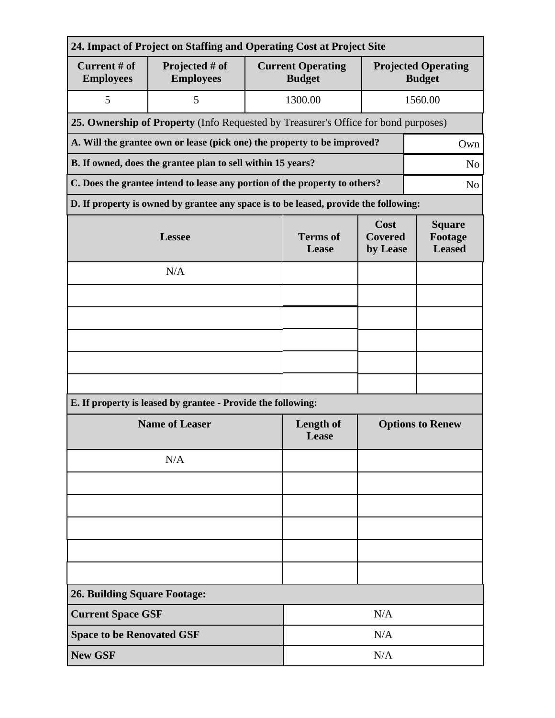| 24. Impact of Project on Staffing and Operating Cost at Project Site                         |                                                                                      |                          |                                           |                                             |  |  |  |
|----------------------------------------------------------------------------------------------|--------------------------------------------------------------------------------------|--------------------------|-------------------------------------------|---------------------------------------------|--|--|--|
| Current # of<br><b>Employees</b>                                                             | Projected # of<br><b>Employees</b>                                                   |                          | <b>Current Operating</b><br><b>Budget</b> | <b>Projected Operating</b><br><b>Budget</b> |  |  |  |
| 5                                                                                            | 5                                                                                    |                          | 1300.00                                   | 1560.00                                     |  |  |  |
| 25. Ownership of Property (Info Requested by Treasurer's Office for bond purposes)           |                                                                                      |                          |                                           |                                             |  |  |  |
| A. Will the grantee own or lease (pick one) the property to be improved?<br>Own              |                                                                                      |                          |                                           |                                             |  |  |  |
| B. If owned, does the grantee plan to sell within 15 years?<br>N <sub>o</sub>                |                                                                                      |                          |                                           |                                             |  |  |  |
| C. Does the grantee intend to lease any portion of the property to others?<br>N <sub>o</sub> |                                                                                      |                          |                                           |                                             |  |  |  |
|                                                                                              | D. If property is owned by grantee any space is to be leased, provide the following: |                          |                                           |                                             |  |  |  |
|                                                                                              | <b>Lessee</b>                                                                        | <b>Terms</b> of<br>Lease | Cost<br><b>Covered</b><br>by Lease        | <b>Square</b><br>Footage<br><b>Leased</b>   |  |  |  |
|                                                                                              | N/A                                                                                  |                          |                                           |                                             |  |  |  |
|                                                                                              |                                                                                      |                          |                                           |                                             |  |  |  |
|                                                                                              |                                                                                      |                          |                                           |                                             |  |  |  |
|                                                                                              |                                                                                      |                          |                                           |                                             |  |  |  |
|                                                                                              |                                                                                      |                          |                                           |                                             |  |  |  |
|                                                                                              |                                                                                      |                          |                                           |                                             |  |  |  |
|                                                                                              | E. If property is leased by grantee - Provide the following:                         |                          |                                           |                                             |  |  |  |
| <b>Name of Leaser</b>                                                                        |                                                                                      |                          | <b>Length of</b><br>Lease                 | <b>Options to Renew</b>                     |  |  |  |
|                                                                                              | N/A                                                                                  |                          |                                           |                                             |  |  |  |
|                                                                                              |                                                                                      |                          |                                           |                                             |  |  |  |
|                                                                                              |                                                                                      |                          |                                           |                                             |  |  |  |
|                                                                                              |                                                                                      |                          |                                           |                                             |  |  |  |
|                                                                                              |                                                                                      |                          |                                           |                                             |  |  |  |
|                                                                                              |                                                                                      |                          |                                           |                                             |  |  |  |
| <b>26. Building Square Footage:</b>                                                          |                                                                                      |                          |                                           |                                             |  |  |  |
| <b>Current Space GSF</b>                                                                     |                                                                                      | N/A                      |                                           |                                             |  |  |  |
| <b>Space to be Renovated GSF</b>                                                             |                                                                                      | N/A                      |                                           |                                             |  |  |  |
| <b>New GSF</b>                                                                               |                                                                                      |                          | N/A                                       |                                             |  |  |  |